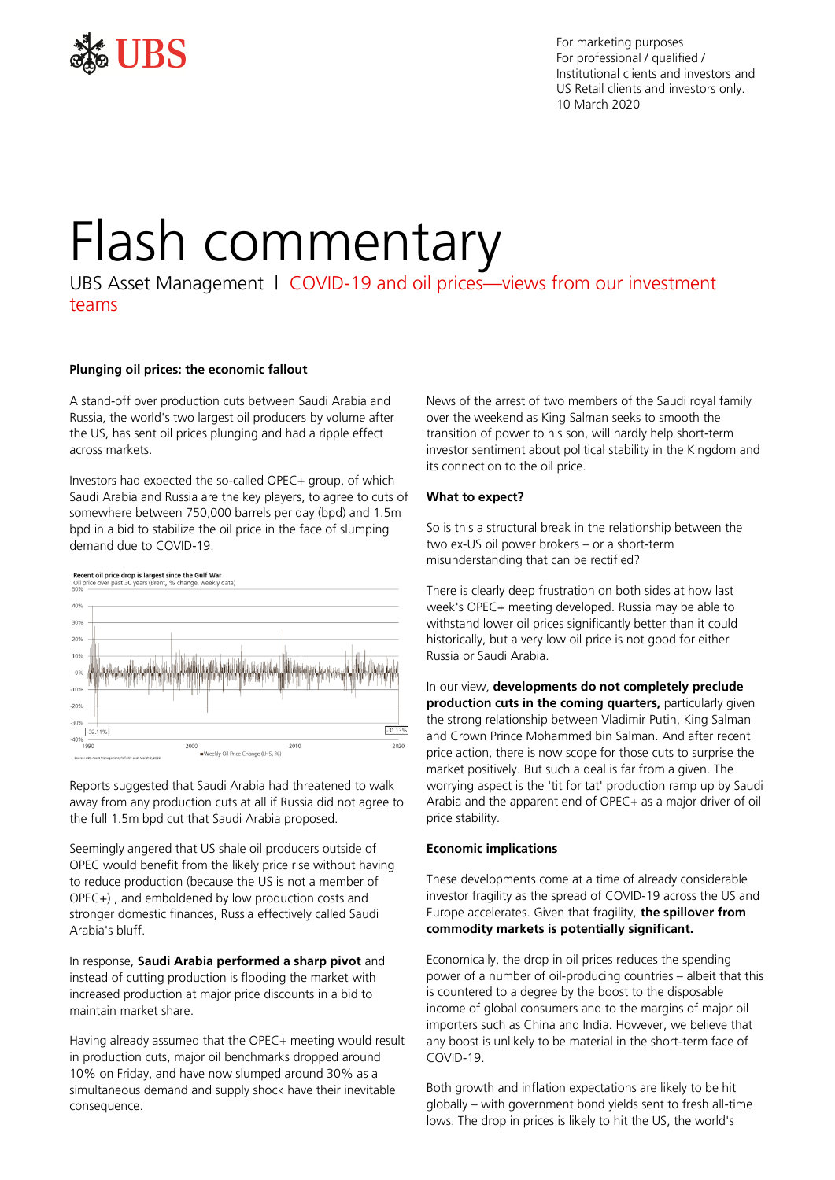

For marketing purposes For professional / qualified / Institutional clients and investors and US Retail clients and investors only. 10 March 2020

# Flash commentary

UBS Asset Management | COVID-19 and oil prices—views from our investment teams

# **Plunging oil prices: the economic fallout**

A stand-off over production cuts between Saudi Arabia and Russia, the world's two largest oil producers by volume after the US, has sent oil prices plunging and had a ripple effect across markets.

Investors had expected the so-called OPEC+ group, of which Saudi Arabia and Russia are the key players, to agree to cuts of somewhere between 750,000 barrels per day (bpd) and 1.5m bpd in a bid to stabilize the oil price in the face of slumping demand due to COVID-19.



Reports suggested that Saudi Arabia had threatened to walk away from any production cuts at all if Russia did not agree to the full 1.5m bpd cut that Saudi Arabia proposed.

Seemingly angered that US shale oil producers outside of OPEC would benefit from the likely price rise without having to reduce production (because the US is not a member of OPEC+) , and emboldened by low production costs and stronger domestic finances, Russia effectively called Saudi Arabia's bluff.

In response, **Saudi Arabia performed a sharp pivot** and instead of cutting production is flooding the market with increased production at major price discounts in a bid to maintain market share.

Having already assumed that the OPEC+ meeting would result in production cuts, major oil benchmarks dropped around 10% on Friday, and have now slumped around 30% as a simultaneous demand and supply shock have their inevitable consequence.

News of the arrest of two members of the Saudi royal family over the weekend as King Salman seeks to smooth the transition of power to his son, will hardly help short-term investor sentiment about political stability in the Kingdom and its connection to the oil price.

# **What to expect?**

So is this a structural break in the relationship between the two ex-US oil power brokers – or a short-term misunderstanding that can be rectified?

There is clearly deep frustration on both sides at how last week's OPEC+ meeting developed. Russia may be able to withstand lower oil prices significantly better than it could historically, but a very low oil price is not good for either Russia or Saudi Arabia.

In our view, **developments do not completely preclude production cuts in the coming quarters,** particularly given the strong relationship between Vladimir Putin, King Salman and Crown Prince Mohammed bin Salman. And after recent price action, there is now scope for those cuts to surprise the market positively. But such a deal is far from a given. The worrying aspect is the 'tit for tat' production ramp up by Saudi Arabia and the apparent end of OPEC+ as a major driver of oil price stability.

# **Economic implications**

These developments come at a time of already considerable investor fragility as the spread of COVID-19 across the US and Europe accelerates. Given that fragility, **the spillover from commodity markets is potentially significant.**

Economically, the drop in oil prices reduces the spending power of a number of oil-producing countries – albeit that this is countered to a degree by the boost to the disposable income of global consumers and to the margins of major oil importers such as China and India. However, we believe that any boost is unlikely to be material in the short-term face of COVID-19.

Both growth and inflation expectations are likely to be hit globally – with government bond yields sent to fresh all-time lows. The drop in prices is likely to hit the US, the world's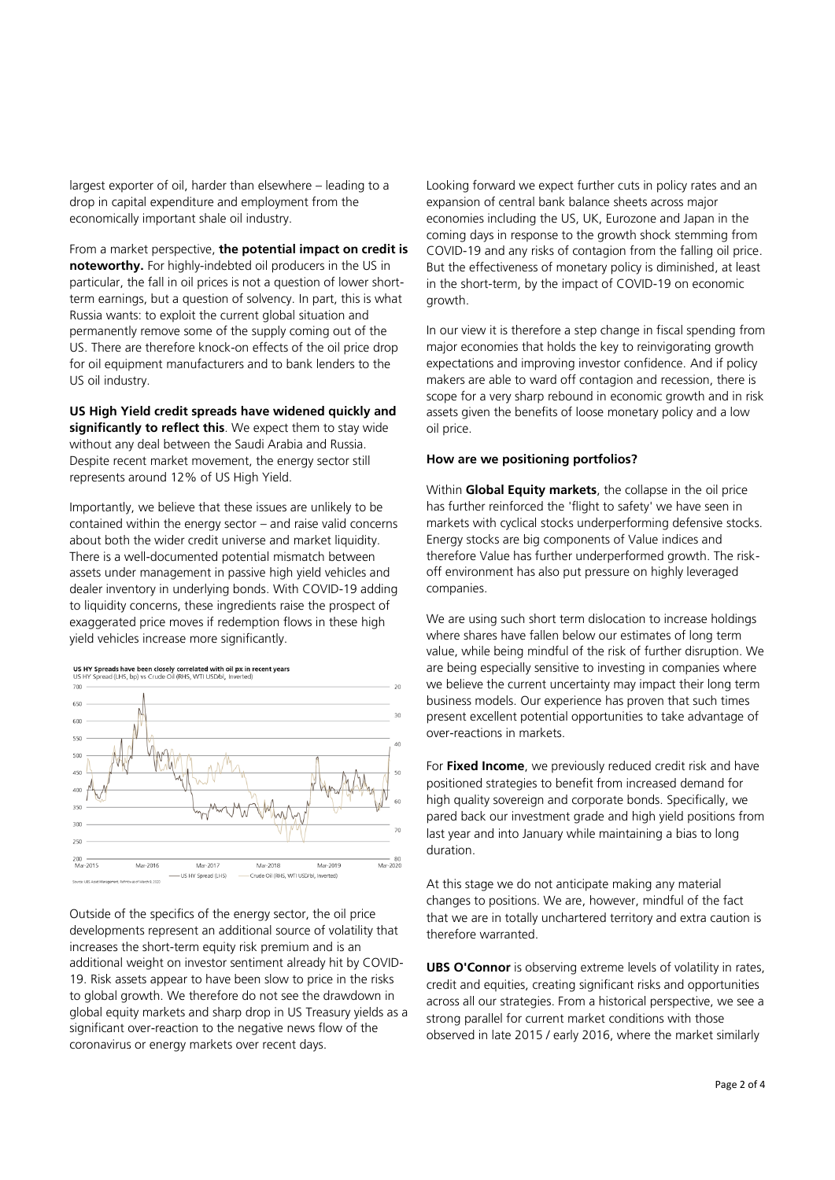largest exporter of oil, harder than elsewhere – leading to a drop in capital expenditure and employment from the economically important shale oil industry.

From a market perspective, **the potential impact on credit is noteworthy.** For highly-indebted oil producers in the US in particular, the fall in oil prices is not a question of lower shortterm earnings, but a question of solvency. In part, this is what Russia wants: to exploit the current global situation and permanently remove some of the supply coming out of the US. There are therefore knock-on effects of the oil price drop for oil equipment manufacturers and to bank lenders to the US oil industry.

**US High Yield credit spreads have widened quickly and significantly to reflect this**. We expect them to stay wide without any deal between the Saudi Arabia and Russia. Despite recent market movement, the energy sector still represents around 12% of US High Yield.

Importantly, we believe that these issues are unlikely to be contained within the energy sector – and raise valid concerns about both the wider credit universe and market liquidity. There is a well-documented potential mismatch between assets under management in passive high yield vehicles and dealer inventory in underlying bonds. With COVID-19 adding to liquidity concerns, these ingredients raise the prospect of exaggerated price moves if redemption flows in these high yield vehicles increase more significantly.

# **US HY Spreads have been closely correlated with oil px in recent years**<br>US HY Spread (LHS, bp) vs Crude Oil (RHS, WTI USD/bl, Inverted)



Outside of the specifics of the energy sector, the oil price developments represent an additional source of volatility that increases the short-term equity risk premium and is an additional weight on investor sentiment already hit by COVID-19. Risk assets appear to have been slow to price in the risks to global growth. We therefore do not see the drawdown in global equity markets and sharp drop in US Treasury yields as a significant over-reaction to the negative news flow of the coronavirus or energy markets over recent days.

Looking forward we expect further cuts in policy rates and an expansion of central bank balance sheets across major economies including the US, UK, Eurozone and Japan in the coming days in response to the growth shock stemming from COVID-19 and any risks of contagion from the falling oil price. But the effectiveness of monetary policy is diminished, at least in the short-term, by the impact of COVID-19 on economic growth.

In our view it is therefore a step change in fiscal spending from major economies that holds the key to reinvigorating growth expectations and improving investor confidence. And if policy makers are able to ward off contagion and recession, there is scope for a very sharp rebound in economic growth and in risk assets given the benefits of loose monetary policy and a low oil price.

# **How are we positioning portfolios?**

Within **Global Equity markets**, the collapse in the oil price has further reinforced the 'flight to safety' we have seen in markets with cyclical stocks underperforming defensive stocks. Energy stocks are big components of Value indices and therefore Value has further underperformed growth. The riskoff environment has also put pressure on highly leveraged companies.

We are using such short term dislocation to increase holdings where shares have fallen below our estimates of long term value, while being mindful of the risk of further disruption. We are being especially sensitive to investing in companies where we believe the current uncertainty may impact their long term business models. Our experience has proven that such times present excellent potential opportunities to take advantage of over-reactions in markets.

For **Fixed Income**, we previously reduced credit risk and have positioned strategies to benefit from increased demand for high quality sovereign and corporate bonds. Specifically, we pared back our investment grade and high yield positions from last year and into January while maintaining a bias to long duration.

At this stage we do not anticipate making any material changes to positions. We are, however, mindful of the fact that we are in totally unchartered territory and extra caution is therefore warranted.

**UBS O'Connor** is observing extreme levels of volatility in rates, credit and equities, creating significant risks and opportunities across all our strategies. From a historical perspective, we see a strong parallel for current market conditions with those observed in late 2015 / early 2016, where the market similarly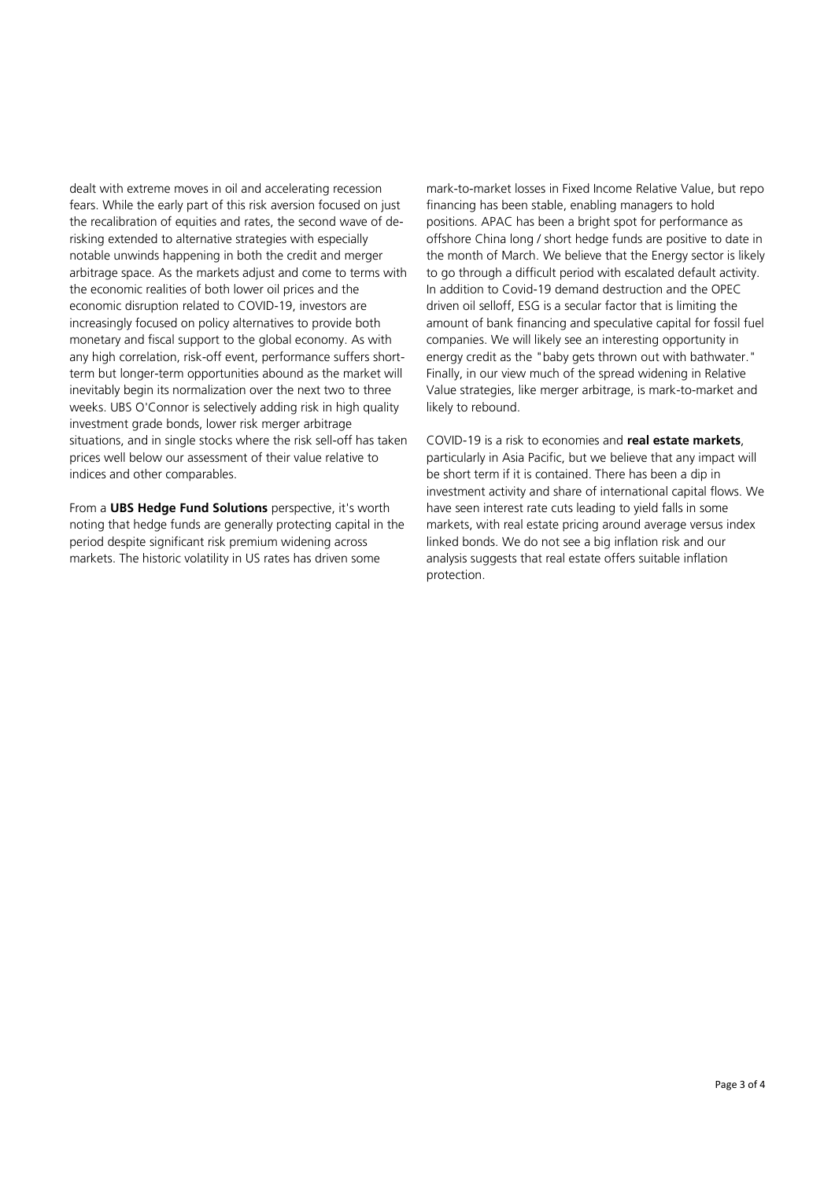dealt with extreme moves in oil and accelerating recession fears. While the early part of this risk aversion focused on just the recalibration of equities and rates, the second wave of derisking extended to alternative strategies with especially notable unwinds happening in both the credit and merger arbitrage space. As the markets adjust and come to terms with the economic realities of both lower oil prices and the economic disruption related to COVID-19, investors are increasingly focused on policy alternatives to provide both monetary and fiscal support to the global economy. As with any high correlation, risk-off event, performance suffers shortterm but longer-term opportunities abound as the market will inevitably begin its normalization over the next two to three weeks. UBS O'Connor is selectively adding risk in high quality investment grade bonds, lower risk merger arbitrage situations, and in single stocks where the risk sell-off has taken prices well below our assessment of their value relative to indices and other comparables.

From a **UBS Hedge Fund Solutions** perspective, it's worth noting that hedge funds are generally protecting capital in the period despite significant risk premium widening across markets. The historic volatility in US rates has driven some

mark-to-market losses in Fixed Income Relative Value, but repo financing has been stable, enabling managers to hold positions. APAC has been a bright spot for performance as offshore China long / short hedge funds are positive to date in the month of March. We believe that the Energy sector is likely to go through a difficult period with escalated default activity. In addition to Covid-19 demand destruction and the OPEC driven oil selloff, ESG is a secular factor that is limiting the amount of bank financing and speculative capital for fossil fuel companies. We will likely see an interesting opportunity in energy credit as the "baby gets thrown out with bathwater." Finally, in our view much of the spread widening in Relative Value strategies, like merger arbitrage, is mark-to-market and likely to rebound.

COVID-19 is a risk to economies and **real estate markets**, particularly in Asia Pacific, but we believe that any impact will be short term if it is contained. There has been a dip in investment activity and share of international capital flows. We have seen interest rate cuts leading to yield falls in some markets, with real estate pricing around average versus index linked bonds. We do not see a big inflation risk and our analysis suggests that real estate offers suitable inflation protection.